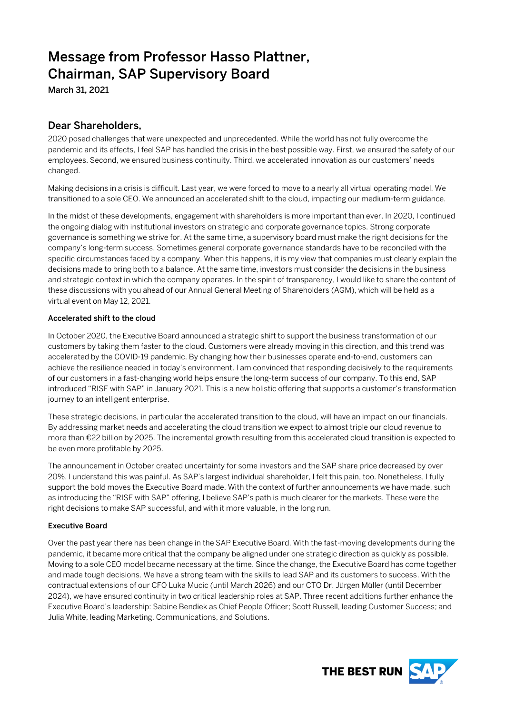# Message from Professor Hasso Plattner, Chairman, SAP Supervisory Board

March 31, 2021

# Dear Shareholders,

2020 posed challenges that were unexpected and unprecedented. While the world has not fully overcome the pandemic and its effects, I feel SAP has handled the crisis in the best possible way. First, we ensured the safety of our employees. Second, we ensured business continuity. Third, we accelerated innovation as our customers' needs changed.

Making decisions in a crisis is difficult. Last year, we were forced to move to a nearly all virtual operating model. We transitioned to a sole CEO. We announced an accelerated shift to the cloud, impacting our medium-term guidance.

In the midst of these developments, engagement with shareholders is more important than ever. In 2020, I continued the ongoing dialog with institutional investors on strategic and corporate governance topics. Strong corporate governance is something we strive for. At the same time, a supervisory board must make the right decisions for the company's long-term success. Sometimes general corporate governance standards have to be reconciled with the specific circumstances faced by a company. When this happens, it is my view that companies must clearly explain the decisions made to bring both to a balance. At the same time, investors must consider the decisions in the business and strategic context in which the company operates. In the spirit of transparency, I would like to share the content of these discussions with you ahead of our Annual General Meeting of Shareholders (AGM), which will be held as a virtual event on May 12, 2021.

## Accelerated shift to the cloud

In October 2020, the Executive Board announced a strategic shift to support the business transformation of our customers by taking them faster to the cloud. Customers were already moving in this direction, and this trend was accelerated by the COVID-19 pandemic. By changing how their businesses operate end-to-end, customers can achieve the resilience needed in today's environment. I am convinced that responding decisively to the requirements of our customers in a fast-changing world helps ensure the long-term success of our company. To this end, SAP introduced "RISE with SAP" in January 2021. This is a new holistic offering that supports a customer's transformation journey to an intelligent enterprise.

These strategic decisions, in particular the accelerated transition to the cloud, will have an impact on our financials. By addressing market needs and accelerating the cloud transition we expect to almost triple our cloud revenue to more than €22 billion by 2025. The incremental growth resulting from this accelerated cloud transition is expected to be even more profitable by 2025.

The announcement in October created uncertainty for some investors and the SAP share price decreased by over 20%. I understand this was painful. As SAP's largest individual shareholder, I felt this pain, too. Nonetheless, I fully support the bold moves the Executive Board made. With the context of further announcements we have made, such as introducing the "RISE with SAP" offering, I believe SAP's path is much clearer for the markets. These were the right decisions to make SAP successful, and with it more valuable, in the long run.

### Executive Board

Over the past year there has been change in the SAP Executive Board. With the fast-moving developments during the pandemic, it became more critical that the company be aligned under one strategic direction as quickly as possible. Moving to a sole CEO model became necessary at the time. Since the change, the Executive Board has come together and made tough decisions. We have a strong team with the skills to lead SAP and its customers to success. With the contractual extensions of our CFO Luka Mucic (until March 2026) and our CTO Dr. Jürgen Müller (until December 2024), we have ensured continuity in two critical leadership roles at SAP. Three recent additions further enhance the Executive Board's leadership: Sabine Bendiek as Chief People Officer; Scott Russell, leading Customer Success; and Julia White, leading Marketing, Communications, and Solutions.

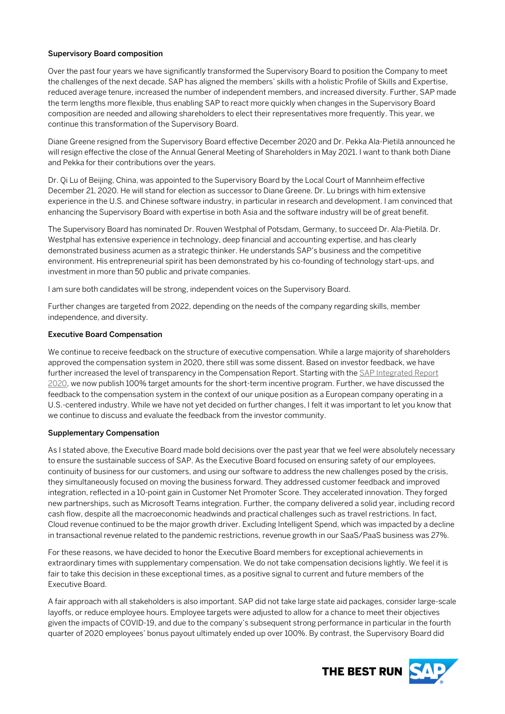#### Supervisory Board composition

Over the past four years we have significantly transformed the Supervisory Board to position the Company to meet the challenges of the next decade. SAP has aligned the members' skills with a holistic Profile of Skills and Expertise, reduced average tenure, increased the number of independent members, and increased diversity. Further, SAP made the term lengths more flexible, thus enabling SAP to react more quickly when changes in the Supervisory Board composition are needed and allowing shareholders to elect their representatives more frequently. This year, we continue this transformation of the Supervisory Board.

Diane Greene resigned from the Supervisory Board effective December 2020 and Dr. Pekka Ala-Pietilä announced he will resign effective the close of the Annual General Meeting of Shareholders in May 2021. I want to thank both Diane and Pekka for their contributions over the years.

Dr. Qi Lu of Beijing, China, was appointed to the Supervisory Board by the Local Court of Mannheim effective December 21, 2020. He will stand for election as successor to Diane Greene. Dr. Lu brings with him extensive experience in the U.S. and Chinese software industry, in particular in research and development. I am convinced that enhancing the Supervisory Board with expertise in both Asia and the software industry will be of great benefit.

The Supervisory Board has nominated Dr. Rouven Westphal of Potsdam, Germany, to succeed Dr. Ala-Pietilä. Dr. Westphal has extensive experience in technology, deep financial and accounting expertise, and has clearly demonstrated business acumen as a strategic thinker. He understands SAP's business and the competitive environment. His entrepreneurial spirit has been demonstrated by his co-founding of technology start-ups, and investment in more than 50 public and private companies.

I am sure both candidates will be strong, independent voices on the Supervisory Board.

Further changes are targeted from 2022, depending on the needs of the company regarding skills, member independence, and diversity.

#### Executive Board Compensation

We continue to receive feedback on the structure of executive compensation. While a large majority of shareholders approved the compensation system in 2020, there still was some dissent. Based on investor feedback, we have further increased the level of transparency in the Compensation Report. Starting with the SAP Integrated Report [2020,](http://www.sapintegratedreport.com/) we now publish 100% target amounts for the short-term incentive program. Further, we have discussed the feedback to the compensation system in the context of our unique position as a European company operating in a U.S.-centered industry. While we have not yet decided on further changes, I felt it was important to let you know that we continue to discuss and evaluate the feedback from the investor community.

#### Supplementary Compensation

As I stated above, the Executive Board made bold decisions over the past year that we feel were absolutely necessary to ensure the sustainable success of SAP. As the Executive Board focused on ensuring safety of our employees, continuity of business for our customers, and using our software to address the new challenges posed by the crisis, they simultaneously focused on moving the business forward. They addressed customer feedback and improved integration, reflected in a 10-point gain in Customer Net Promoter Score. They accelerated innovation. They forged new partnerships, such as Microsoft Teams integration. Further, the company delivered a solid year, including record cash flow, despite all the macroeconomic headwinds and practical challenges such as travel restrictions. In fact, Cloud revenue continued to be the major growth driver. Excluding Intelligent Spend, which was impacted by a decline in transactional revenue related to the pandemic restrictions, revenue growth in our SaaS/PaaS business was 27%.

For these reasons, we have decided to honor the Executive Board members for exceptional achievements in extraordinary times with supplementary compensation. We do not take compensation decisions lightly. We feel it is fair to take this decision in these exceptional times, as a positive signal to current and future members of the Executive Board.

A fair approach with all stakeholders is also important. SAP did not take large state aid packages, consider large-scale layoffs, or reduce employee hours. Employee targets were adjusted to allow for a chance to meet their objectives given the impacts of COVID-19, and due to the company's subsequent strong performance in particular in the fourth quarter of 2020 employees' bonus payout ultimately ended up over 100%. By contrast, the Supervisory Board did